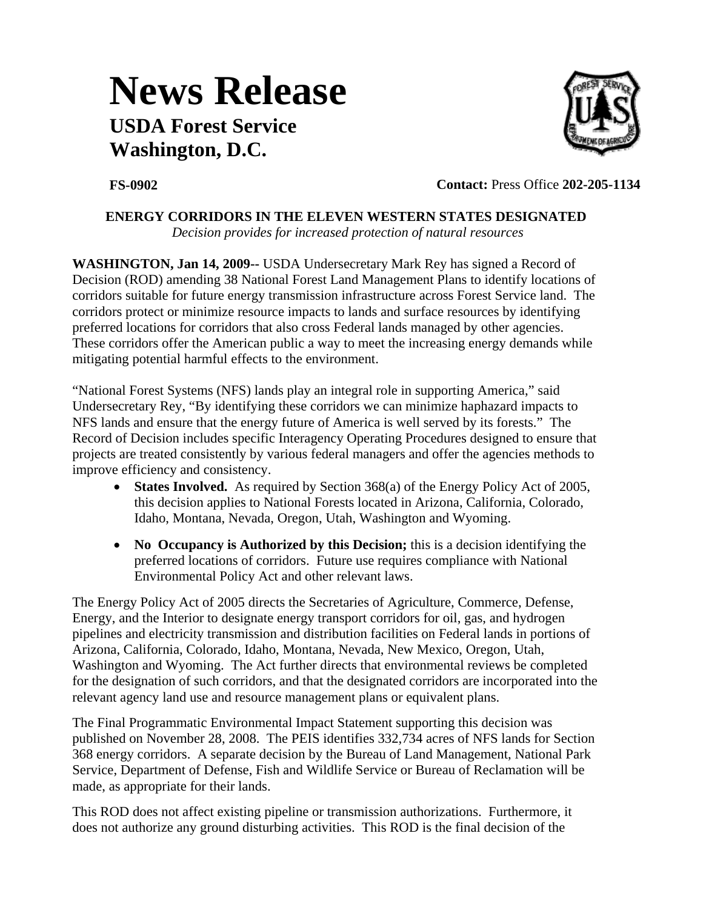## **News Release USDA Forest Service Washington, D.C.**



**FS-0902 Contact:** Press Office **202-205-1134**

## **ENERGY CORRIDORS IN THE ELEVEN WESTERN STATES DESIGNATED**

*Decision provides for increased protection of natural resources* 

**WASHINGTON, Jan 14, 2009--** USDA Undersecretary Mark Rey has signed a Record of Decision (ROD) amending 38 National Forest Land Management Plans to identify locations of corridors suitable for future energy transmission infrastructure across Forest Service land. The corridors protect or minimize resource impacts to lands and surface resources by identifying preferred locations for corridors that also cross Federal lands managed by other agencies. These corridors offer the American public a way to meet the increasing energy demands while mitigating potential harmful effects to the environment.

"National Forest Systems (NFS) lands play an integral role in supporting America," said Undersecretary Rey, "By identifying these corridors we can minimize haphazard impacts to NFS lands and ensure that the energy future of America is well served by its forests." The Record of Decision includes specific Interagency Operating Procedures designed to ensure that projects are treated consistently by various federal managers and offer the agencies methods to improve efficiency and consistency.

- **States Involved.** As required by Section 368(a) of the Energy Policy Act of 2005, this decision applies to National Forests located in Arizona, California, Colorado, Idaho, Montana, Nevada, Oregon, Utah, Washington and Wyoming.
- **No Occupancy is Authorized by this Decision;** this is a decision identifying the preferred locations of corridors. Future use requires compliance with National Environmental Policy Act and other relevant laws.

The Energy Policy Act of 2005 directs the Secretaries of Agriculture, Commerce, Defense, Energy, and the Interior to designate energy transport corridors for oil, gas, and hydrogen pipelines and electricity transmission and distribution facilities on Federal lands in portions of Arizona, California, Colorado, Idaho, Montana, Nevada, New Mexico, Oregon, Utah, Washington and Wyoming. The Act further directs that environmental reviews be completed for the designation of such corridors, and that the designated corridors are incorporated into the relevant agency land use and resource management plans or equivalent plans.

The Final Programmatic Environmental Impact Statement supporting this decision was published on November 28, 2008. The PEIS identifies 332,734 acres of NFS lands for Section 368 energy corridors. A separate decision by the Bureau of Land Management, National Park Service, Department of Defense, Fish and Wildlife Service or Bureau of Reclamation will be made, as appropriate for their lands.

This ROD does not affect existing pipeline or transmission authorizations. Furthermore, it does not authorize any ground disturbing activities. This ROD is the final decision of the